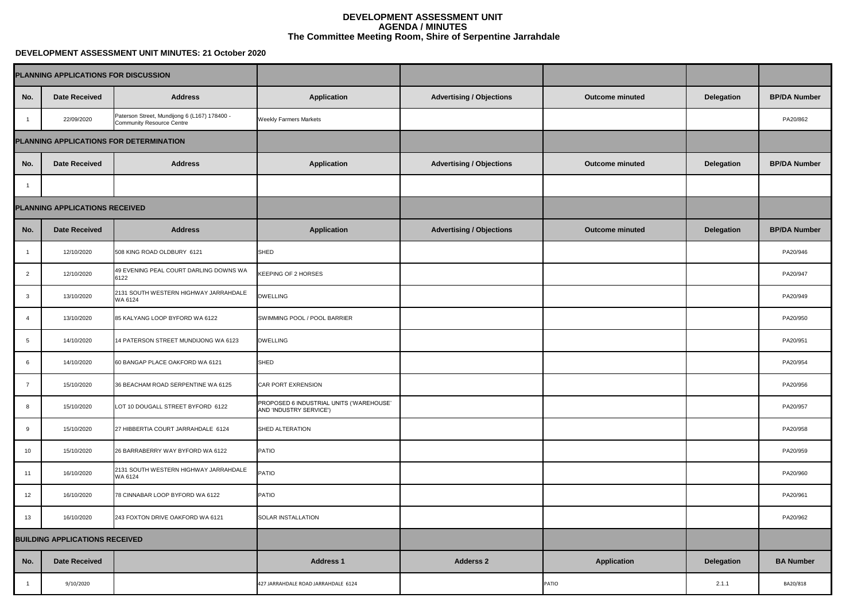## **DEVELOPMENT ASSESSMENT UNIT MINUTES: 21 October 2020**

|                 | PLANNING APPLICATIONS FOR DISCUSSION  |                                                                                  |                                                                     |                                 |                        |                   |                     |
|-----------------|---------------------------------------|----------------------------------------------------------------------------------|---------------------------------------------------------------------|---------------------------------|------------------------|-------------------|---------------------|
| No.             | <b>Date Received</b>                  | <b>Address</b>                                                                   | <b>Application</b>                                                  | <b>Advertising / Objections</b> | <b>Outcome minuted</b> | <b>Delegation</b> | <b>BP/DA Number</b> |
|                 | 22/09/2020                            | Paterson Street, Mundijong 6 (L167) 178400 -<br><b>Community Resource Centre</b> | <b>Weekly Farmers Markets</b>                                       |                                 |                        |                   | PA20/862            |
|                 |                                       | PLANNING APPLICATIONS FOR DETERMINATION                                          |                                                                     |                                 |                        |                   |                     |
| No.             | <b>Date Received</b>                  | <b>Address</b>                                                                   | <b>Application</b>                                                  | <b>Advertising / Objections</b> | <b>Outcome minuted</b> | <b>Delegation</b> | <b>BP/DA Number</b> |
|                 |                                       |                                                                                  |                                                                     |                                 |                        |                   |                     |
|                 | <b>PLANNING APPLICATIONS RECEIVED</b> |                                                                                  |                                                                     |                                 |                        |                   |                     |
| No.             | <b>Date Received</b>                  | <b>Address</b>                                                                   | <b>Application</b>                                                  | <b>Advertising / Objections</b> | <b>Outcome minuted</b> | <b>Delegation</b> | <b>BP/DA Number</b> |
|                 | 12/10/2020                            | 508 KING ROAD OLDBURY 6121                                                       | SHED                                                                |                                 |                        |                   | PA20/946            |
| $\overline{2}$  | 12/10/2020                            | 49 EVENING PEAL COURT DARLING DOWNS WA<br>6122                                   | <b>KEEPING OF 2 HORSES</b>                                          |                                 |                        |                   | PA20/947            |
| $\mathbf{3}$    | 13/10/2020                            | 2131 SOUTH WESTERN HIGHWAY JARRAHDALE<br>WA 6124                                 | <b>DWELLING</b>                                                     |                                 |                        |                   | PA20/949            |
| 4               | 13/10/2020                            | 85 KALYANG LOOP BYFORD WA 6122                                                   | SWIMMING POOL / POOL BARRIER                                        |                                 |                        |                   | PA20/950            |
| $5\overline{)}$ | 14/10/2020                            | 14 PATERSON STREET MUNDIJONG WA 6123                                             | <b>DWELLING</b>                                                     |                                 |                        |                   | PA20/951            |
| 6               | 14/10/2020                            | 60 BANGAP PLACE OAKFORD WA 6121                                                  | SHED                                                                |                                 |                        |                   | PA20/954            |
| -7              | 15/10/2020                            | 36 BEACHAM ROAD SERPENTINE WA 6125                                               | <b>CAR PORT EXRENSION</b>                                           |                                 |                        |                   | PA20/956            |
| 8               | 15/10/2020                            | LOT 10 DOUGALL STREET BYFORD 6122                                                | PROPOSED 6 INDUSTRIAL UNITS ('WAREHOUSE'<br>AND 'INDUSTRY SERVICE') |                                 |                        |                   | PA20/957            |
| 9               | 15/10/2020                            | 27 HIBBERTIA COURT JARRAHDALE 6124                                               | <b>SHED ALTERATION</b>                                              |                                 |                        |                   | PA20/958            |
| 10              | 15/10/2020                            | 26 BARRABERRY WAY BYFORD WA 6122                                                 | <b>PATIO</b>                                                        |                                 |                        |                   | PA20/959            |
| 11              | 16/10/2020                            | 2131 SOUTH WESTERN HIGHWAY JARRAHDALE<br>WA 6124                                 | <b>PATIO</b>                                                        |                                 |                        |                   | PA20/960            |
| 12              | 16/10/2020                            | 78 CINNABAR LOOP BYFORD WA 6122                                                  | <b>PATIO</b>                                                        |                                 |                        |                   | PA20/961            |
| 13              | 16/10/2020                            | 243 FOXTON DRIVE OAKFORD WA 6121                                                 | <b>SOLAR INSTALLATION</b>                                           |                                 |                        |                   | PA20/962            |
|                 | <b>BUILDING APPLICATIONS RECEIVED</b> |                                                                                  |                                                                     |                                 |                        |                   |                     |
| No.             | <b>Date Received</b>                  |                                                                                  | <b>Address 1</b>                                                    | <b>Adderss 2</b>                | <b>Application</b>     | <b>Delegation</b> | <b>BA Number</b>    |
|                 | 9/10/2020                             |                                                                                  | 427 JARRAHDALE ROAD JARRAHDALE 6124                                 |                                 | <b>PATIO</b>           | 2.1.1             | BA20/818            |

| OR DISCUSSION                                                                    |                                                                     |                                 |                        |                   |                     |
|----------------------------------------------------------------------------------|---------------------------------------------------------------------|---------------------------------|------------------------|-------------------|---------------------|
| <b>Address</b>                                                                   | <b>Application</b>                                                  | <b>Advertising / Objections</b> | <b>Outcome minuted</b> | <b>Delegation</b> | <b>BP/DA Number</b> |
| Paterson Street, Mundijong 6 (L167) 178400 -<br><b>Community Resource Centre</b> | <b>Weekly Farmers Markets</b>                                       |                                 |                        |                   | PA20/862            |
| <b>OR DETERMINATION</b>                                                          |                                                                     |                                 |                        |                   |                     |
| <b>Address</b>                                                                   | <b>Application</b>                                                  | <b>Advertising / Objections</b> | <b>Outcome minuted</b> | <b>Delegation</b> | <b>BP/DA Number</b> |
|                                                                                  |                                                                     |                                 |                        |                   |                     |
| <b>ECEIVED</b>                                                                   |                                                                     |                                 |                        |                   |                     |
| <b>Address</b>                                                                   | <b>Application</b>                                                  | <b>Advertising / Objections</b> | <b>Outcome minuted</b> | <b>Delegation</b> | <b>BP/DA Number</b> |
| 508 KING ROAD OLDBURY 6121                                                       | SHED                                                                |                                 |                        |                   | PA20/946            |
| 49 EVENING PEAL COURT DARLING DOWNS WA<br>6122                                   | <b>KEEPING OF 2 HORSES</b>                                          |                                 |                        |                   | PA20/947            |
| 2131 SOUTH WESTERN HIGHWAY JARRAHDALE<br>WA 6124                                 | <b>DWELLING</b>                                                     |                                 |                        |                   | PA20/949            |
| 85 KALYANG LOOP BYFORD WA 6122                                                   | SWIMMING POOL / POOL BARRIER                                        |                                 |                        |                   | PA20/950            |
| 14 PATERSON STREET MUNDIJONG WA 6123                                             | <b>DWELLING</b>                                                     |                                 |                        |                   | PA20/951            |
| 60 BANGAP PLACE OAKFORD WA 6121                                                  | <b>SHED</b>                                                         |                                 |                        |                   | PA20/954            |
| 36 BEACHAM ROAD SERPENTINE WA 6125                                               | <b>CAR PORT EXRENSION</b>                                           |                                 |                        |                   | PA20/956            |
| LOT 10 DOUGALL STREET BYFORD 6122                                                | PROPOSED 6 INDUSTRIAL UNITS ('WAREHOUSE'<br>AND 'INDUSTRY SERVICE') |                                 |                        |                   | PA20/957            |
| 27 HIBBERTIA COURT JARRAHDALE 6124                                               | <b>SHED ALTERATION</b>                                              |                                 |                        |                   | PA20/958            |
| 26 BARRABERRY WAY BYFORD WA 6122                                                 | <b>PATIO</b>                                                        |                                 |                        |                   | PA20/959            |
| 2131 SOUTH WESTERN HIGHWAY JARRAHDALE<br>WA 6124                                 | <b>PATIO</b>                                                        |                                 |                        |                   | PA20/960            |
| 78 CINNABAR LOOP BYFORD WA 6122                                                  | PATIO                                                               |                                 |                        |                   | PA20/961            |
| 243 FOXTON DRIVE OAKFORD WA 6121                                                 | <b>SOLAR INSTALLATION</b>                                           |                                 |                        |                   | PA20/962            |
| <b>CEIVED</b>                                                                    |                                                                     |                                 |                        |                   |                     |
|                                                                                  | <b>Address 1</b>                                                    | <b>Adderss 2</b>                | <b>Application</b>     | <b>Delegation</b> | <b>BA Number</b>    |
|                                                                                  | 427 JARRAHDALE ROAD JARRAHDALE 6124                                 |                                 | <b>PATIO</b>           | 2.1.1             | BA20/818            |

## **DEVELOPMENT ASSESSMENT UNIT AGENDA / MINUTES The Committee Meeting Room, Shire of Serpentine Jarrahdale**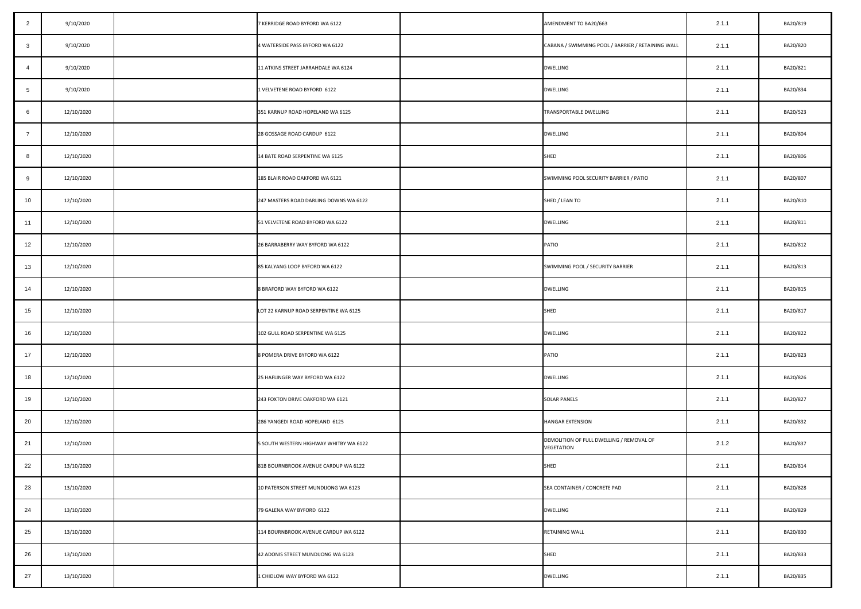| $\overline{2}$          | 9/10/2020  | 7 KERRIDGE ROAD BYFORD WA 6122         | AMENDMENT TO BA20/663                                  | 2.1.1 | BA20/819 |
|-------------------------|------------|----------------------------------------|--------------------------------------------------------|-------|----------|
| $\overline{\mathbf{3}}$ | 9/10/2020  | 4 WATERSIDE PASS BYFORD WA 6122        | CABANA / SWIMMING POOL / BARRIER / RETAINING WALL      | 2.1.1 | BA20/820 |
| $\overline{4}$          | 9/10/2020  | 11 ATKINS STREET JARRAHDALE WA 6124    | <b>DWELLING</b>                                        | 2.1.1 | BA20/821 |
| $5\overline{)}$         | 9/10/2020  | 1 VELVETENE ROAD BYFORD 6122           | <b>DWELLING</b>                                        | 2.1.1 | BA20/834 |
| 6                       | 12/10/2020 | 351 KARNUP ROAD HOPELAND WA 6125       | TRANSPORTABLE DWELLING                                 | 2.1.1 | BA20/523 |
| $\overline{7}$          | 12/10/2020 | 28 GOSSAGE ROAD CARDUP 6122            | <b>DWELLING</b>                                        | 2.1.1 | BA20/804 |
| 8                       | 12/10/2020 | 14 BATE ROAD SERPENTINE WA 6125        | <b>SHED</b>                                            | 2.1.1 | BA20/806 |
| 9                       | 12/10/2020 | 185 BLAIR ROAD OAKFORD WA 6121         | SWIMMING POOL SECURITY BARRIER / PATIO                 | 2.1.1 | BA20/807 |
| 10                      | 12/10/2020 | 247 MASTERS ROAD DARLING DOWNS WA 6122 | SHED / LEAN TO                                         | 2.1.1 | BA20/810 |
| 11                      | 12/10/2020 | 51 VELVETENE ROAD BYFORD WA 6122       | <b>DWELLING</b>                                        | 2.1.1 | BA20/811 |
| 12                      | 12/10/2020 | 26 BARRABERRY WAY BYFORD WA 6122       | <b>PATIO</b>                                           | 2.1.1 | BA20/812 |
| 13                      | 12/10/2020 | 85 KALYANG LOOP BYFORD WA 6122         | SWIMMING POOL / SECURITY BARRIER                       | 2.1.1 | BA20/813 |
| 14                      | 12/10/2020 | 8 BRAFORD WAY BYFORD WA 6122           | <b>DWELLING</b>                                        | 2.1.1 | BA20/815 |
| 15                      | 12/10/2020 | LOT 22 KARNUP ROAD SERPENTINE WA 6125  | SHED                                                   | 2.1.1 | BA20/817 |
| 16                      | 12/10/2020 | 102 GULL ROAD SERPENTINE WA 6125       | <b>DWELLING</b>                                        | 2.1.1 | BA20/822 |
| 17                      | 12/10/2020 | 8 POMERA DRIVE BYFORD WA 6122          | <b>PATIO</b>                                           | 2.1.1 | BA20/823 |
| 18                      | 12/10/2020 | 25 HAFLINGER WAY BYFORD WA 6122        | <b>DWELLING</b>                                        | 2.1.1 | BA20/826 |
| 19                      | 12/10/2020 | 243 FOXTON DRIVE OAKFORD WA 6121       | <b>SOLAR PANELS</b>                                    | 2.1.1 | BA20/827 |
| 20                      | 12/10/2020 | 286 YANGEDI ROAD HOPELAND 6125         | <b>HANGAR EXTENSION</b>                                | 2.1.1 | BA20/832 |
| 21                      | 12/10/2020 | 5 SOUTH WESTERN HIGHWAY WHITBY WA 6122 | DEMOLITION OF FULL DWELLING / REMOVAL OF<br>VEGETATION | 2.1.2 | BA20/837 |
| 22                      | 13/10/2020 | 81B BOURNBROOK AVENUE CARDUP WA 6122   | SHED                                                   | 2.1.1 | BA20/814 |
| 23                      | 13/10/2020 | 10 PATERSON STREET MUNDIJONG WA 6123   | SEA CONTAINER / CONCRETE PAD                           | 2.1.1 | BA20/828 |
| 24                      | 13/10/2020 | 79 GALENA WAY BYFORD 6122              | <b>DWELLING</b>                                        | 2.1.1 | BA20/829 |
| 25                      | 13/10/2020 | 114 BOURNBROOK AVENUE CARDUP WA 6122   | RETAINING WALL                                         | 2.1.1 | BA20/830 |
| 26                      | 13/10/2020 | 42 ADONIS STREET MUNDIJONG WA 6123     | SHED                                                   | 2.1.1 | BA20/833 |
| 27                      | 13/10/2020 | 1 CHIDLOW WAY BYFORD WA 6122           | DWELLING                                               | 2.1.1 | BA20/835 |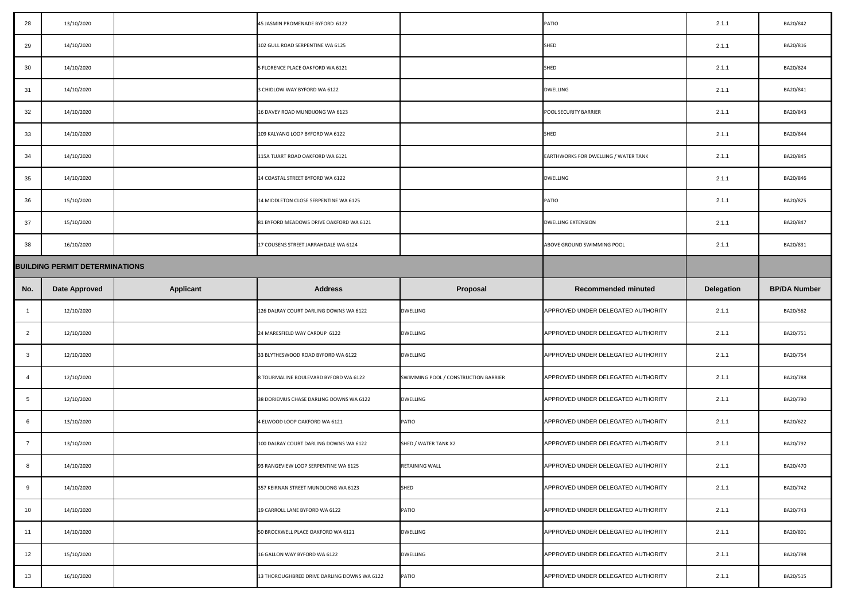| 28              | 13/10/2020                            |                  | 45 JASMIN PROMENADE BYFORD 6122         |                                      | <b>PATIO</b>                                | 2.1.1             | BA20/842            |
|-----------------|---------------------------------------|------------------|-----------------------------------------|--------------------------------------|---------------------------------------------|-------------------|---------------------|
| 29              | 14/10/2020                            |                  | 102 GULL ROAD SERPENTINE WA 6125        |                                      | <b>SHED</b>                                 | 2.1.1             | BA20/816            |
| 30              | 14/10/2020                            |                  | 5 FLORENCE PLACE OAKFORD WA 6121        |                                      | SHED                                        | 2.1.1             | BA20/824            |
| 31              | 14/10/2020                            |                  | 3 CHIDLOW WAY BYFORD WA 6122            |                                      | <b>DWELLING</b>                             | 2.1.1             | BA20/841            |
| 32              | 14/10/2020                            |                  | 16 DAVEY ROAD MUNDIJONG WA 6123         |                                      | POOL SECURITY BARRIER                       | 2.1.1             | BA20/843            |
| 33              | 14/10/2020                            |                  | 109 KALYANG LOOP BYFORD WA 6122         |                                      | SHED                                        | 2.1.1             | BA20/844            |
| 34              | 14/10/2020                            |                  | 115A TUART ROAD OAKFORD WA 6121         |                                      | <b>EARTHWORKS FOR DWELLING / WATER TANK</b> | 2.1.1             | BA20/845            |
| 35              | 14/10/2020                            |                  | 14 COASTAL STREET BYFORD WA 6122        |                                      | <b>DWELLING</b>                             | 2.1.1             | BA20/846            |
| 36              | 15/10/2020                            |                  | 14 MIDDLETON CLOSE SERPENTINE WA 6125   |                                      | <b>PATIO</b>                                | 2.1.1             | BA20/825            |
| 37              | 15/10/2020                            |                  | 81 BYFORD MEADOWS DRIVE OAKFORD WA 6121 |                                      | <b>DWELLING EXTENSION</b>                   | 2.1.1             | BA20/847            |
| 38              | 16/10/2020                            |                  | 17 COUSENS STREET JARRAHDALE WA 6124    |                                      | ABOVE GROUND SWIMMING POOL                  | 2.1.1             | BA20/831            |
|                 | <b>BUILDING PERMIT DETERMINATIONS</b> |                  |                                         |                                      |                                             |                   |                     |
| No.             | <b>Date Approved</b>                  | <b>Applicant</b> | <b>Address</b>                          | <b>Proposal</b>                      | <b>Recommended minuted</b>                  | <b>Delegation</b> | <b>BP/DA Number</b> |
|                 |                                       |                  |                                         |                                      |                                             |                   |                     |
|                 | 12/10/2020                            |                  | 126 DALRAY COURT DARLING DOWNS WA 6122  | <b>DWELLING</b>                      | APPROVED UNDER DELEGATED AUTHORITY          | 2.1.1             | BA20/562            |
| $\overline{2}$  | 12/10/2020                            |                  | 24 MARESFIELD WAY CARDUP 6122           | <b>DWELLING</b>                      | APPROVED UNDER DELEGATED AUTHORITY          | 2.1.1             | BA20/751            |
| $\mathbf{3}$    | 12/10/2020                            |                  | 33 BLYTHESWOOD ROAD BYFORD WA 6122      | <b>DWELLING</b>                      | APPROVED UNDER DELEGATED AUTHORITY          | 2.1.1             | BA20/754            |
|                 | 12/10/2020                            |                  | 8 TOURMALINE BOULEVARD BYFORD WA 6122   | SWIMMING POOL / CONSTRUCTION BARRIER | APPROVED UNDER DELEGATED AUTHORITY          | 2.1.1             | BA20/788            |
| $5\phantom{.0}$ | 12/10/2020                            |                  | 38 DORIEMUS CHASE DARLING DOWNS WA 6122 | <b>DWELLING</b>                      | APPROVED UNDER DELEGATED AUTHORITY          | 2.1.1             | BA20/790            |
| 6               | 13/10/2020                            |                  | 4 ELWOOD LOOP OAKFORD WA 6121           | PATIO                                | APPROVED UNDER DELEGATED AUTHORITY          | 2.1.1             | BA20/622            |
| $\overline{7}$  | 13/10/2020                            |                  | 100 DALRAY COURT DARLING DOWNS WA 6122  | SHED / WATER TANK X2                 | APPROVED UNDER DELEGATED AUTHORITY          | 2.1.1             | BA20/792            |
| 8               | 14/10/2020                            |                  | 93 RANGEVIEW LOOP SERPENTINE WA 6125    | <b>RETAINING WALL</b>                | APPROVED UNDER DELEGATED AUTHORITY          | 2.1.1             | BA20/470            |
| 9               | 14/10/2020                            |                  | 357 KEIRNAN STREET MUNDIJONG WA 6123    | <b>SHED</b>                          | APPROVED UNDER DELEGATED AUTHORITY          | 2.1.1             | BA20/742            |
| 10              | 14/10/2020                            |                  | 19 CARROLL LANE BYFORD WA 6122          | PATIO                                | APPROVED UNDER DELEGATED AUTHORITY          | 2.1.1             | BA20/743            |
| 11              | 14/10/2020                            |                  | 50 BROCKWELL PLACE OAKFORD WA 6121      | <b>DWELLING</b>                      | APPROVED UNDER DELEGATED AUTHORITY          | 2.1.1             | BA20/801            |
| 12              | 15/10/2020                            |                  | 16 GALLON WAY BYFORD WA 6122            | <b>DWELLING</b>                      | APPROVED UNDER DELEGATED AUTHORITY          | 2.1.1             | BA20/798            |

| 28             | 13/10/2020                            |                  | 45 JASMIN PROMENADE BYFORD 6122         |                                      | PATIO                                       | 2.1.1             | BA20/842            |
|----------------|---------------------------------------|------------------|-----------------------------------------|--------------------------------------|---------------------------------------------|-------------------|---------------------|
| 29             | 14/10/2020                            |                  | 102 GULL ROAD SERPENTINE WA 6125        |                                      | SHED                                        | 2.1.1             | BA20/816            |
| 30             | 14/10/2020                            |                  | 5 FLORENCE PLACE OAKFORD WA 6121        |                                      | SHED                                        | 2.1.1             | BA20/824            |
| 31             | 14/10/2020                            |                  | 3 CHIDLOW WAY BYFORD WA 6122            |                                      | <b>DWELLING</b>                             | 2.1.1             | BA20/841            |
| 32             | 14/10/2020                            |                  | 16 DAVEY ROAD MUNDIJONG WA 6123         |                                      | <b>POOL SECURITY BARRIER</b>                | 2.1.1             | BA20/843            |
| 33             | 14/10/2020                            |                  | 109 KALYANG LOOP BYFORD WA 6122         |                                      | SHED                                        | 2.1.1             | BA20/844            |
| 34             | 14/10/2020                            |                  | 115A TUART ROAD OAKFORD WA 6121         |                                      | <b>EARTHWORKS FOR DWELLING / WATER TANK</b> | 2.1.1             | BA20/845            |
| 35             | 14/10/2020                            |                  | 14 COASTAL STREET BYFORD WA 6122        |                                      | <b>DWELLING</b>                             | 2.1.1             | BA20/846            |
| 36             | 15/10/2020                            |                  | 14 MIDDLETON CLOSE SERPENTINE WA 6125   |                                      | PATIO                                       | 2.1.1             | BA20/825            |
| 37             | 15/10/2020                            |                  | 81 BYFORD MEADOWS DRIVE OAKFORD WA 6121 |                                      | DWELLING EXTENSION                          | 2.1.1             | BA20/847            |
| 38             | 16/10/2020                            |                  | 17 COUSENS STREET JARRAHDALE WA 6124    |                                      | ABOVE GROUND SWIMMING POOL                  | 2.1.1             | BA20/831            |
|                | <b>BUILDING PERMIT DETERMINATIONS</b> |                  |                                         |                                      |                                             |                   |                     |
| No.            | <b>Date Approved</b>                  | <b>Applicant</b> | <b>Address</b>                          | <b>Proposal</b>                      | <b>Recommended minuted</b>                  | <b>Delegation</b> | <b>BP/DA Number</b> |
|                |                                       |                  |                                         |                                      |                                             |                   |                     |
|                | 12/10/2020                            |                  | 126 DALRAY COURT DARLING DOWNS WA 6122  | <b>DWELLING</b>                      | APPROVED UNDER DELEGATED AUTHORITY          | 2.1.1             | BA20/562            |
| $\overline{2}$ | 12/10/2020                            |                  | 24 MARESFIELD WAY CARDUP 6122           | <b>DWELLING</b>                      | APPROVED UNDER DELEGATED AUTHORITY          | 2.1.1             | BA20/751            |
| $\mathbf{3}$   | 12/10/2020                            |                  | 33 BLYTHESWOOD ROAD BYFORD WA 6122      | <b>DWELLING</b>                      | APPROVED UNDER DELEGATED AUTHORITY          | 2.1.1             | BA20/754            |
|                | 12/10/2020                            |                  | 8 TOURMALINE BOULEVARD BYFORD WA 6122   | SWIMMING POOL / CONSTRUCTION BARRIER | APPROVED UNDER DELEGATED AUTHORITY          | 2.1.1             | BA20/788            |
| $5^{\circ}$    | 12/10/2020                            |                  | 38 DORIEMUS CHASE DARLING DOWNS WA 6122 | <b>DWELLING</b>                      | APPROVED UNDER DELEGATED AUTHORITY          | 2.1.1             | BA20/790            |
| 6              | 13/10/2020                            |                  | 4 ELWOOD LOOP OAKFORD WA 6121           | <b>PATIO</b>                         | APPROVED UNDER DELEGATED AUTHORITY          | 2.1.1             | BA20/622            |
| - 7            | 13/10/2020                            |                  | 100 DALRAY COURT DARLING DOWNS WA 6122  | SHED / WATER TANK X2                 | APPROVED UNDER DELEGATED AUTHORITY          | 2.1.1             | BA20/792            |
| 8              | 14/10/2020                            |                  | 93 RANGEVIEW LOOP SERPENTINE WA 6125    | RETAINING WALL                       | APPROVED UNDER DELEGATED AUTHORITY          | 2.1.1             | BA20/470            |
| 9              | 14/10/2020                            |                  | 357 KEIRNAN STREET MUNDIJONG WA 6123    | <b>SHED</b>                          | APPROVED UNDER DELEGATED AUTHORITY          | 2.1.1             | BA20/742            |
| 10             | 14/10/2020                            |                  | 19 CARROLL LANE BYFORD WA 6122          | <b>PATIO</b>                         | APPROVED UNDER DELEGATED AUTHORITY          | 2.1.1             | BA20/743            |
| 11             | 14/10/2020                            |                  | 50 BROCKWELL PLACE OAKFORD WA 6121      | <b>DWELLING</b>                      | APPROVED UNDER DELEGATED AUTHORITY          | 2.1.1             | BA20/801            |
| 12             | 15/10/2020                            |                  | 16 GALLON WAY BYFORD WA 6122            | <b>DWELLING</b>                      | APPROVED UNDER DELEGATED AUTHORITY          | 2.1.1             | BA20/798            |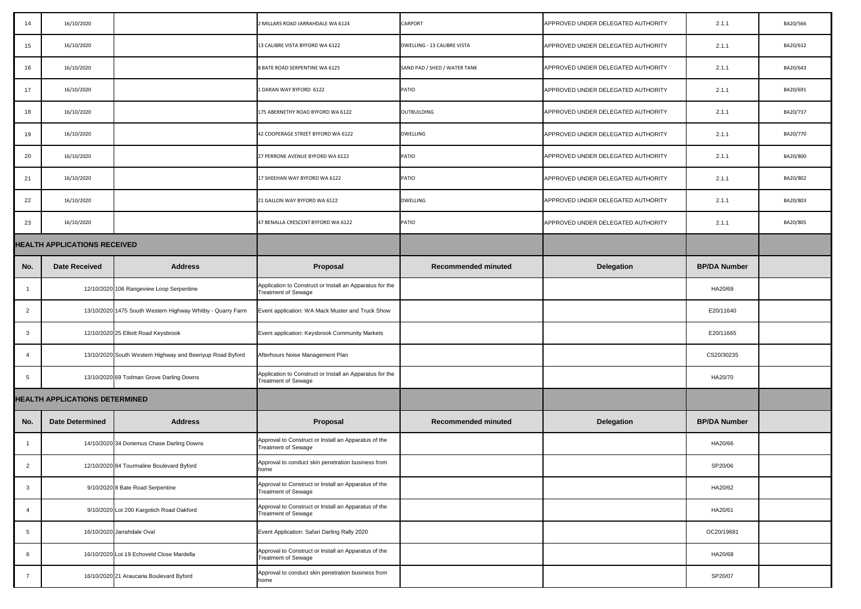| 14              | 16/10/2020                            |                                                            | 2 MILLARS ROAD JARRAHDALE WA 6124                                                      | <b>CARPORT</b>               | APPROVED UNDER DELEGATED AUTHORITY | 2.1.1               | BA20/566 |
|-----------------|---------------------------------------|------------------------------------------------------------|----------------------------------------------------------------------------------------|------------------------------|------------------------------------|---------------------|----------|
| 15              | 16/10/2020                            |                                                            | 13 CALIBRE VISTA BYFORD WA 6122                                                        | DWELLING - 13 CALIBRE VISTA  | APPROVED UNDER DELEGATED AUTHORITY | 2.1.1               | BA20/612 |
| 16              | 16/10/2020                            |                                                            | 8 BATE ROAD SERPENTINE WA 6125                                                         | SAND PAD / SHED / WATER TANK | APPROVED UNDER DELEGATED AUTHORITY | 2.1.1               | BA20/643 |
| 17              | 16/10/2020                            |                                                            | 1 DARAN WAY BYFORD 6122                                                                | <b>PATIO</b>                 | APPROVED UNDER DELEGATED AUTHORITY | 2.1.1               | BA20/691 |
| 18              | 16/10/2020                            |                                                            | 175 ABERNETHY ROAD BYFORD WA 6122                                                      | <b>OUTBUILDING</b>           | APPROVED UNDER DELEGATED AUTHORITY | 2.1.1               | BA20/737 |
| 19              | 16/10/2020                            |                                                            | 42 COOPERAGE STREET BYFORD WA 6122                                                     | <b>DWELLING</b>              | APPROVED UNDER DELEGATED AUTHORITY | 2.1.1               | BA20/770 |
| 20              | 16/10/2020                            |                                                            | 27 PERRONE AVENUE BYFORD WA 6122                                                       | <b>PATIO</b>                 | APPROVED UNDER DELEGATED AUTHORITY | 2.1.1               | BA20/800 |
| 21              | 16/10/2020                            |                                                            | 17 SHEEHAN WAY BYFORD WA 6122                                                          | <b>PATIO</b>                 | APPROVED UNDER DELEGATED AUTHORITY | 2.1.1               | BA20/802 |
| 22              | 16/10/2020                            |                                                            | 21 GALLON WAY BYFORD WA 6122                                                           | <b>DWELLING</b>              | APPROVED UNDER DELEGATED AUTHORITY | 2.1.1               | BA20/803 |
| 23              | 16/10/2020                            |                                                            | 47 BENALLA CRESCENT BYFORD WA 6122                                                     | <b>PATIO</b>                 | APPROVED UNDER DELEGATED AUTHORITY | 2.1.1               | BA20/805 |
|                 | <b>HEALTH APPLICATIONS RECEIVED</b>   |                                                            |                                                                                        |                              |                                    |                     |          |
| No.             | <b>Date Received</b>                  | <b>Address</b>                                             | Proposal                                                                               | <b>Recommended minuted</b>   | <b>Delegation</b>                  | <b>BP/DA Number</b> |          |
|                 |                                       | 12/10/2020 106 Rangeview Loop Serpentine                   | Application to Construct or Install an Apparatus for the<br><b>Treatment of Sewage</b> |                              |                                    | HA20/69             |          |
| $\overline{2}$  |                                       | 13/10/2020 1475 South Western Highway Whitby - Quarry Farm | Event application: WA Mack Muster and Truck Show                                       |                              |                                    | E20/11640           |          |
| $\mathbf{3}$    |                                       | 12/10/2020 25 Elliott Road Keysbrook                       | Event application: Keysbrook Community Markets                                         |                              |                                    | E20/11665           |          |
|                 |                                       | 13/10/2020 South Western Highway and Beenyup Road Byford   | Afterhours Noise Management Plan                                                       |                              |                                    | CS20/30235          |          |
| 5               |                                       | 13/10/2020 69 Todman Grove Darling Downs                   | Application to Construct or Install an Apparatus for the<br><b>Treatment of Sewage</b> |                              |                                    | HA20/70             |          |
|                 | <b>HEALTH APPLICATIONS DETERMINED</b> |                                                            |                                                                                        |                              |                                    |                     |          |
| No.             | <b>Date Determined</b>                | <b>Address</b>                                             | Proposal                                                                               | <b>Recommended minuted</b>   | <b>Delegation</b>                  | <b>BP/DA Number</b> |          |
|                 |                                       | 14/10/2020 34 Doriemus Chase Darling Downs                 | Approval to Construct or Install an Apparatus of the<br><b>Treatment of Sewage</b>     |                              |                                    | HA20/66             |          |
| $\overline{2}$  |                                       | 12/10/2020 84 Tourmaline Boulevard Byford                  | Approval to conduct skin penetration business from<br>home                             |                              |                                    | SP20/06             |          |
| $\mathbf{3}$    |                                       | 9/10/2020 8 Bate Road Serpentine                           | Approval to Construct or Install an Apparatus of the<br>Treatment of Sewage            |                              |                                    | HA20/62             |          |
|                 |                                       | 9/10/2020 Lot 200 Kargotich Road Oakford                   | Approval to Construct or Install an Apparatus of the<br><b>Treatment of Sewage</b>     |                              |                                    | HA20/61             |          |
| $5\phantom{.0}$ |                                       | 16/10/2020 Jarrahdale Oval                                 | Event Application: Safari Darling Rally 2020                                           |                              |                                    | OC20/19681          |          |
| 6               |                                       | 16/10/2020 Lot 19 Echoveld Close Mardella                  | Approval to Construct or Install an Apparatus of the<br><b>Treatment of Sewage</b>     |                              |                                    | HA20/68             |          |
|                 |                                       | 16/10/2020 21 Araucaria Boulevard Byford                   | Approval to conduct skin penetration business from<br>home                             |                              |                                    | SP20/07             |          |